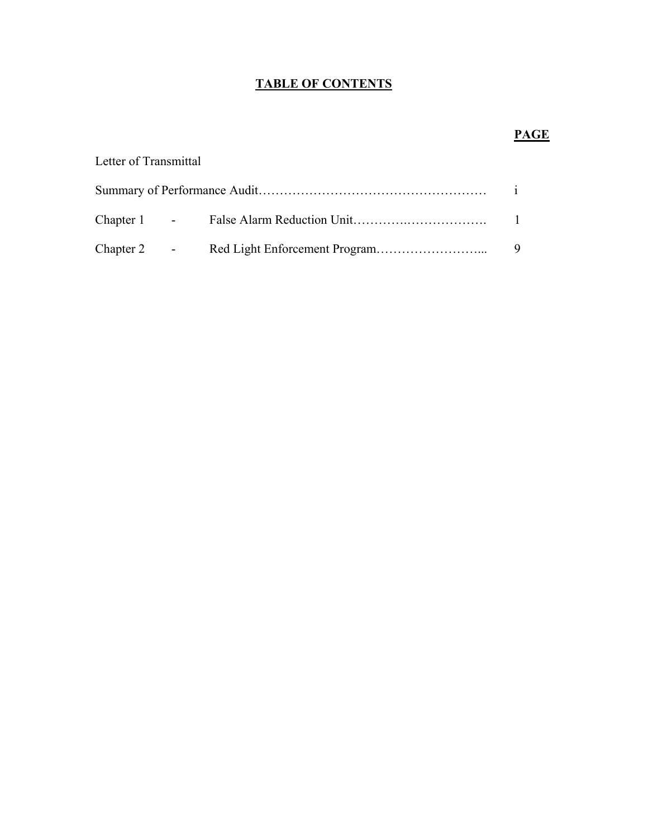## **TABLE OF CONTENTS**

# Letter of Transmittal Summary of Performance Audit……………………………………………… i Chapter 1 - False Alarm Reduction Unit………….………………. 1 Chapter 2 - Red Light Enforcement Program……………………... 9

## **PAGE**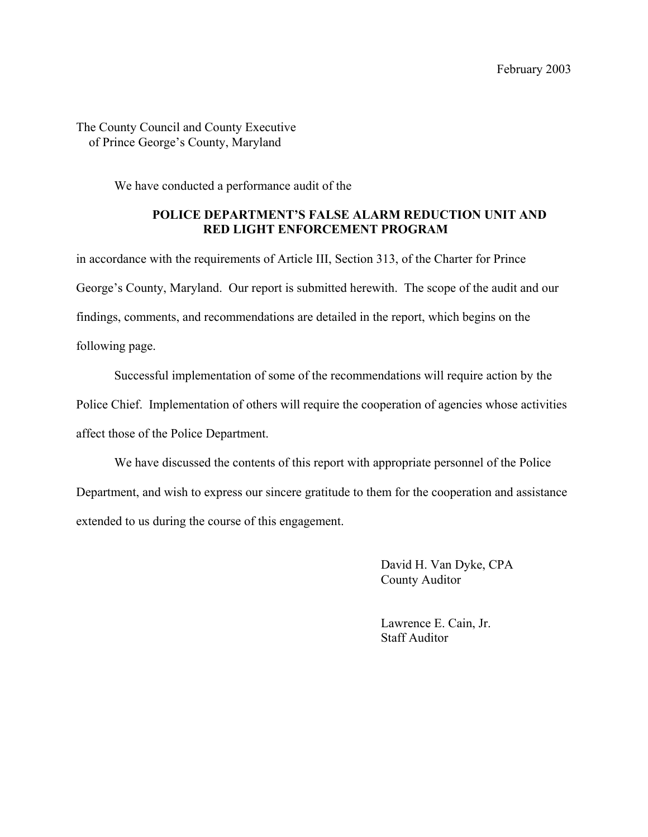## The County Council and County Executive of Prince George's County, Maryland

We have conducted a performance audit of the

## **POLICE DEPARTMENT'S FALSE ALARM REDUCTION UNIT AND RED LIGHT ENFORCEMENT PROGRAM**

in accordance with the requirements of Article III, Section 313, of the Charter for Prince George's County, Maryland. Our report is submitted herewith. The scope of the audit and our findings, comments, and recommendations are detailed in the report, which begins on the following page.

 Successful implementation of some of the recommendations will require action by the Police Chief. Implementation of others will require the cooperation of agencies whose activities affect those of the Police Department.

 We have discussed the contents of this report with appropriate personnel of the Police Department, and wish to express our sincere gratitude to them for the cooperation and assistance extended to us during the course of this engagement.

> David H. Van Dyke, CPA County Auditor

 Lawrence E. Cain, Jr. Staff Auditor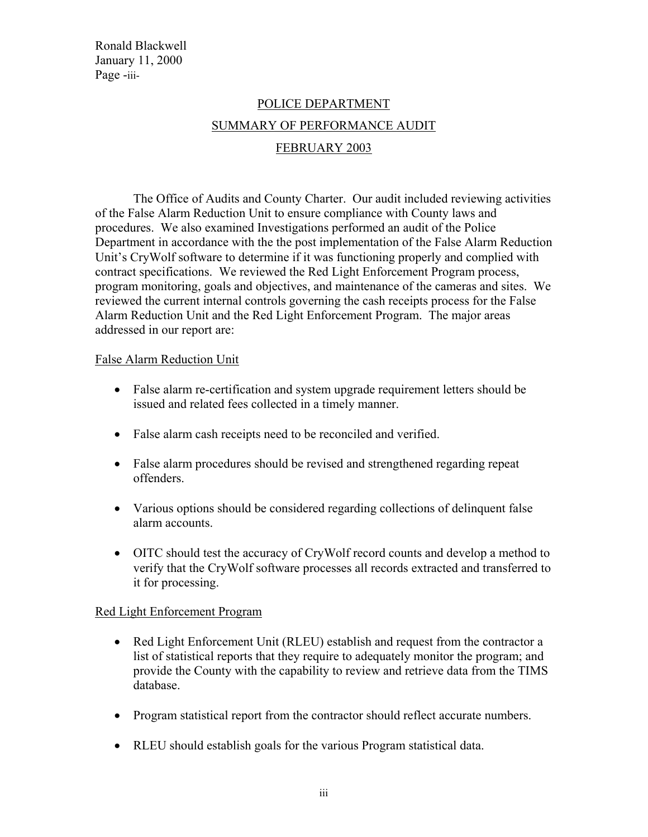Ronald Blackwell January 11, 2000 Page -iii-

## POLICE DEPARTMENT SUMMARY OF PERFORMANCE AUDIT FEBRUARY 2003

 The Office of Audits and County Charter. Our audit included reviewing activities of the False Alarm Reduction Unit to ensure compliance with County laws and procedures. We also examined Investigations performed an audit of the Police Department in accordance with the the post implementation of the False Alarm Reduction Unit's CryWolf software to determine if it was functioning properly and complied with contract specifications. We reviewed the Red Light Enforcement Program process, program monitoring, goals and objectives, and maintenance of the cameras and sites. We reviewed the current internal controls governing the cash receipts process for the False Alarm Reduction Unit and the Red Light Enforcement Program. The major areas addressed in our report are:

## False Alarm Reduction Unit

- False alarm re-certification and system upgrade requirement letters should be issued and related fees collected in a timely manner.
- False alarm cash receipts need to be reconciled and verified.
- False alarm procedures should be revised and strengthened regarding repeat offenders.
- Various options should be considered regarding collections of delinquent false alarm accounts.
- OITC should test the accuracy of CryWolf record counts and develop a method to verify that the CryWolf software processes all records extracted and transferred to it for processing.

## Red Light Enforcement Program

- Red Light Enforcement Unit (RLEU) establish and request from the contractor a list of statistical reports that they require to adequately monitor the program; and provide the County with the capability to review and retrieve data from the TIMS database.
- Program statistical report from the contractor should reflect accurate numbers.
- RLEU should establish goals for the various Program statistical data.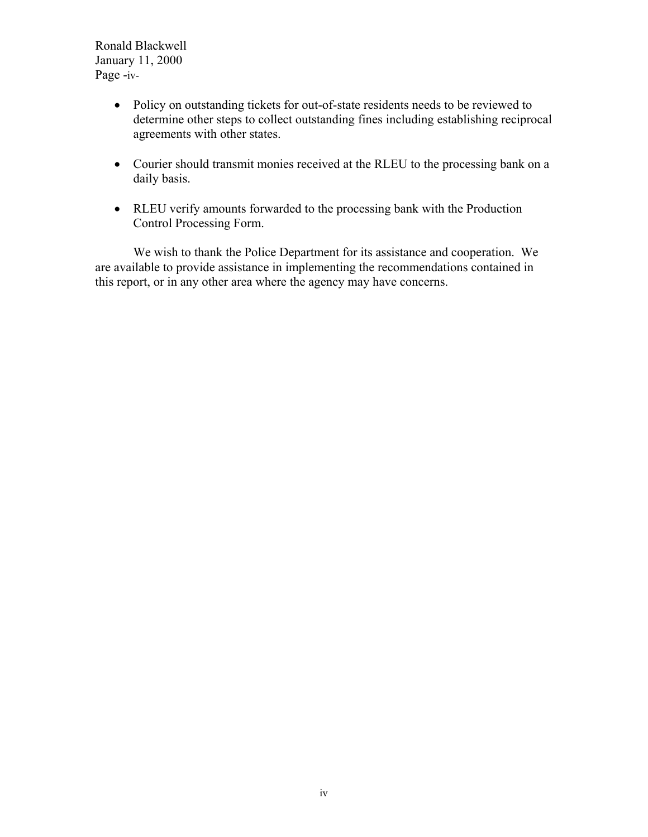Ronald Blackwell January 11, 2000 Page -iv-

- Policy on outstanding tickets for out-of-state residents needs to be reviewed to determine other steps to collect outstanding fines including establishing reciprocal agreements with other states.
- Courier should transmit monies received at the RLEU to the processing bank on a daily basis.
- RLEU verify amounts forwarded to the processing bank with the Production Control Processing Form.

We wish to thank the Police Department for its assistance and cooperation. We are available to provide assistance in implementing the recommendations contained in this report, or in any other area where the agency may have concerns.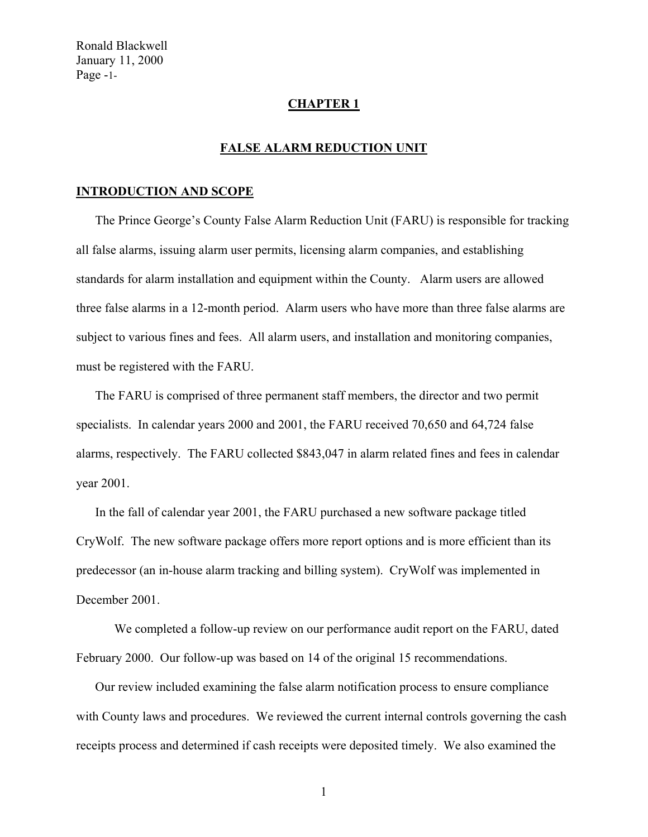Ronald Blackwell January 11, 2000 Page -1-

#### **CHAPTER 1**

## **FALSE ALARM REDUCTION UNIT**

#### **INTRODUCTION AND SCOPE**

The Prince George's County False Alarm Reduction Unit (FARU) is responsible for tracking all false alarms, issuing alarm user permits, licensing alarm companies, and establishing standards for alarm installation and equipment within the County. Alarm users are allowed three false alarms in a 12-month period. Alarm users who have more than three false alarms are subject to various fines and fees. All alarm users, and installation and monitoring companies, must be registered with the FARU.

The FARU is comprised of three permanent staff members, the director and two permit specialists. In calendar years 2000 and 2001, the FARU received 70,650 and 64,724 false alarms, respectively. The FARU collected \$843,047 in alarm related fines and fees in calendar year 2001.

In the fall of calendar year 2001, the FARU purchased a new software package titled CryWolf. The new software package offers more report options and is more efficient than its predecessor (an in-house alarm tracking and billing system). CryWolf was implemented in December 2001.

We completed a follow-up review on our performance audit report on the FARU, dated February 2000. Our follow-up was based on 14 of the original 15 recommendations.

Our review included examining the false alarm notification process to ensure compliance with County laws and procedures. We reviewed the current internal controls governing the cash receipts process and determined if cash receipts were deposited timely. We also examined the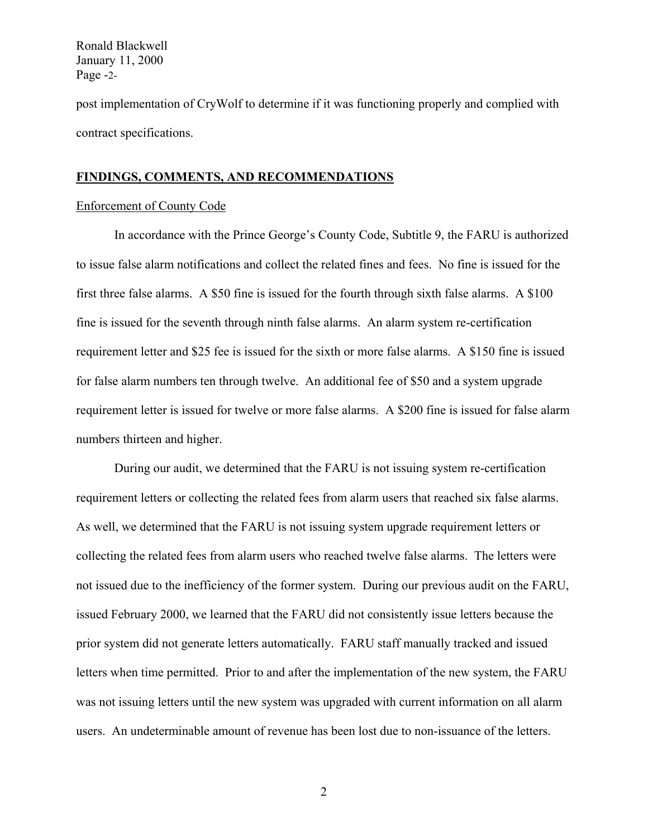Ronald Blackwell January 11, 2000 Page -2-

post implementation of CryWolf to determine if it was functioning properly and complied with contract specifications.

#### **FINDINGS, COMMENTS, AND RECOMMENDATIONS**

#### Enforcement of County Code

In accordance with the Prince George's County Code, Subtitle 9, the FARU is authorized to issue false alarm notifications and collect the related fines and fees. No fine is issued for the first three false alarms. A \$50 fine is issued for the fourth through sixth false alarms. A \$100 fine is issued for the seventh through ninth false alarms. An alarm system re-certification requirement letter and \$25 fee is issued for the sixth or more false alarms. A \$150 fine is issued for false alarm numbers ten through twelve. An additional fee of \$50 and a system upgrade requirement letter is issued for twelve or more false alarms. A \$200 fine is issued for false alarm numbers thirteen and higher.

During our audit, we determined that the FARU is not issuing system re-certification requirement letters or collecting the related fees from alarm users that reached six false alarms. As well, we determined that the FARU is not issuing system upgrade requirement letters or collecting the related fees from alarm users who reached twelve false alarms. The letters were not issued due to the inefficiency of the former system. During our previous audit on the FARU, issued February 2000, we learned that the FARU did not consistently issue letters because the prior system did not generate letters automatically. FARU staff manually tracked and issued letters when time permitted. Prior to and after the implementation of the new system, the FARU was not issuing letters until the new system was upgraded with current information on all alarm users. An undeterminable amount of revenue has been lost due to non-issuance of the letters.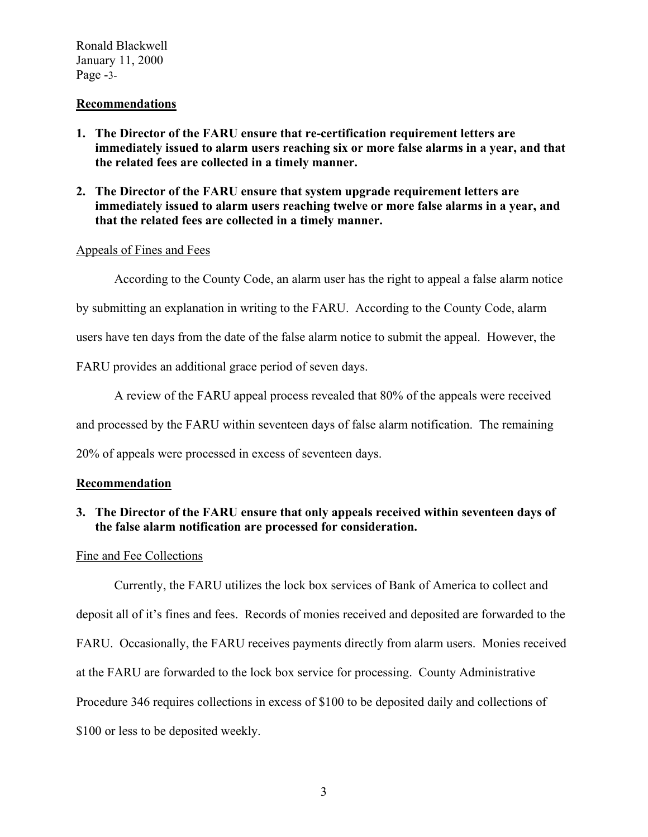Ronald Blackwell January 11, 2000 Page -3-

#### **Recommendations**

- **1. The Director of the FARU ensure that re-certification requirement letters are immediately issued to alarm users reaching six or more false alarms in a year, and that the related fees are collected in a timely manner.**
- **2. The Director of the FARU ensure that system upgrade requirement letters are immediately issued to alarm users reaching twelve or more false alarms in a year, and that the related fees are collected in a timely manner.**

#### Appeals of Fines and Fees

According to the County Code, an alarm user has the right to appeal a false alarm notice

by submitting an explanation in writing to the FARU. According to the County Code, alarm

users have ten days from the date of the false alarm notice to submit the appeal. However, the

FARU provides an additional grace period of seven days.

A review of the FARU appeal process revealed that 80% of the appeals were received and processed by the FARU within seventeen days of false alarm notification. The remaining

20% of appeals were processed in excess of seventeen days.

#### **Recommendation**

## **3. The Director of the FARU ensure that only appeals received within seventeen days of the false alarm notification are processed for consideration.**

#### Fine and Fee Collections

Currently, the FARU utilizes the lock box services of Bank of America to collect and deposit all of it's fines and fees. Records of monies received and deposited are forwarded to the FARU. Occasionally, the FARU receives payments directly from alarm users. Monies received at the FARU are forwarded to the lock box service for processing. County Administrative Procedure 346 requires collections in excess of \$100 to be deposited daily and collections of \$100 or less to be deposited weekly.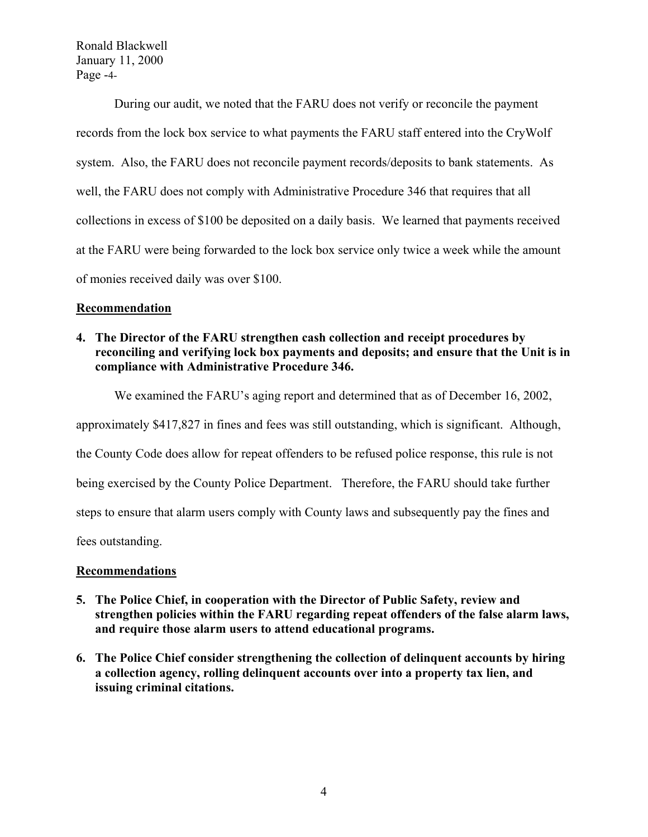Ronald Blackwell January 11, 2000 Page -4-

During our audit, we noted that the FARU does not verify or reconcile the payment records from the lock box service to what payments the FARU staff entered into the CryWolf system. Also, the FARU does not reconcile payment records/deposits to bank statements. As well, the FARU does not comply with Administrative Procedure 346 that requires that all collections in excess of \$100 be deposited on a daily basis. We learned that payments received at the FARU were being forwarded to the lock box service only twice a week while the amount of monies received daily was over \$100.

## **Recommendation**

**4. The Director of the FARU strengthen cash collection and receipt procedures by reconciling and verifying lock box payments and deposits; and ensure that the Unit is in compliance with Administrative Procedure 346.** 

We examined the FARU's aging report and determined that as of December 16, 2002,

approximately \$417,827 in fines and fees was still outstanding, which is significant. Although,

the County Code does allow for repeat offenders to be refused police response, this rule is not

being exercised by the County Police Department. Therefore, the FARU should take further

steps to ensure that alarm users comply with County laws and subsequently pay the fines and

fees outstanding.

## **Recommendations**

- **5. The Police Chief, in cooperation with the Director of Public Safety, review and strengthen policies within the FARU regarding repeat offenders of the false alarm laws, and require those alarm users to attend educational programs.**
- **6. The Police Chief consider strengthening the collection of delinquent accounts by hiring a collection agency, rolling delinquent accounts over into a property tax lien, and issuing criminal citations.**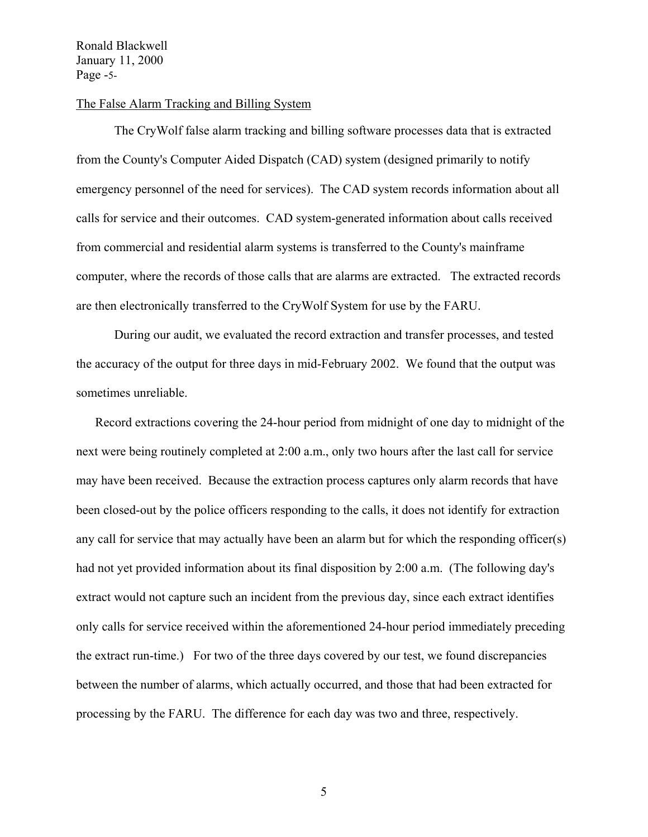Ronald Blackwell January 11, 2000 Page -5-

#### The False Alarm Tracking and Billing System

The CryWolf false alarm tracking and billing software processes data that is extracted from the County's Computer Aided Dispatch (CAD) system (designed primarily to notify emergency personnel of the need for services). The CAD system records information about all calls for service and their outcomes. CAD system-generated information about calls received from commercial and residential alarm systems is transferred to the County's mainframe computer, where the records of those calls that are alarms are extracted. The extracted records are then electronically transferred to the CryWolf System for use by the FARU.

During our audit, we evaluated the record extraction and transfer processes, and tested the accuracy of the output for three days in mid-February 2002. We found that the output was sometimes unreliable.

Record extractions covering the 24-hour period from midnight of one day to midnight of the next were being routinely completed at 2:00 a.m., only two hours after the last call for service may have been received. Because the extraction process captures only alarm records that have been closed-out by the police officers responding to the calls, it does not identify for extraction any call for service that may actually have been an alarm but for which the responding officer(s) had not yet provided information about its final disposition by 2:00 a.m. (The following day's extract would not capture such an incident from the previous day, since each extract identifies only calls for service received within the aforementioned 24-hour period immediately preceding the extract run-time.) For two of the three days covered by our test, we found discrepancies between the number of alarms, which actually occurred, and those that had been extracted for processing by the FARU. The difference for each day was two and three, respectively.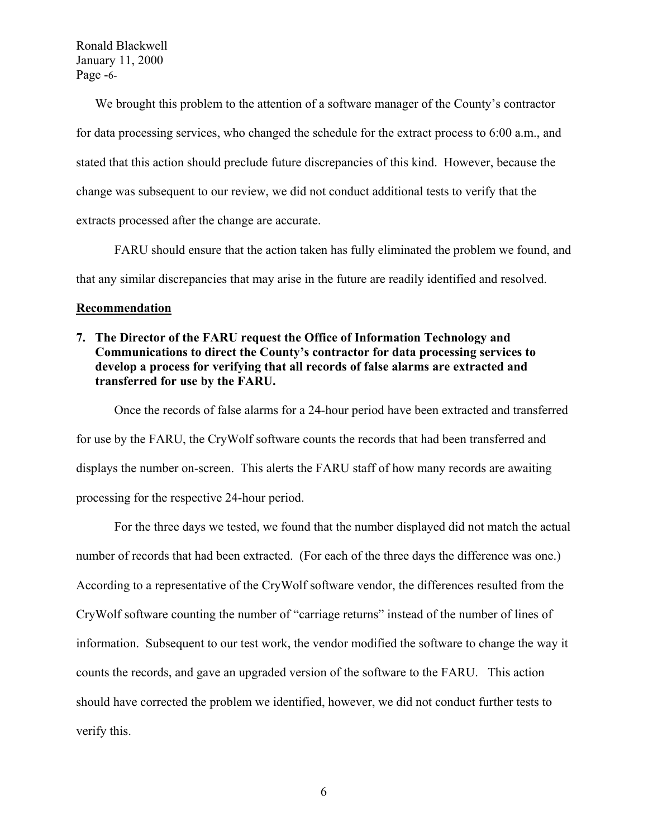Ronald Blackwell January 11, 2000 Page -6-

We brought this problem to the attention of a software manager of the County's contractor for data processing services, who changed the schedule for the extract process to 6:00 a.m., and stated that this action should preclude future discrepancies of this kind. However, because the change was subsequent to our review, we did not conduct additional tests to verify that the extracts processed after the change are accurate.

FARU should ensure that the action taken has fully eliminated the problem we found, and that any similar discrepancies that may arise in the future are readily identified and resolved.

#### **Recommendation**

## **7. The Director of the FARU request the Office of Information Technology and Communications to direct the County's contractor for data processing services to develop a process for verifying that all records of false alarms are extracted and transferred for use by the FARU.**

 Once the records of false alarms for a 24-hour period have been extracted and transferred for use by the FARU, the CryWolf software counts the records that had been transferred and displays the number on-screen. This alerts the FARU staff of how many records are awaiting processing for the respective 24-hour period.

For the three days we tested, we found that the number displayed did not match the actual number of records that had been extracted. (For each of the three days the difference was one.) According to a representative of the CryWolf software vendor, the differences resulted from the CryWolf software counting the number of "carriage returns" instead of the number of lines of information. Subsequent to our test work, the vendor modified the software to change the way it counts the records, and gave an upgraded version of the software to the FARU. This action should have corrected the problem we identified, however, we did not conduct further tests to verify this.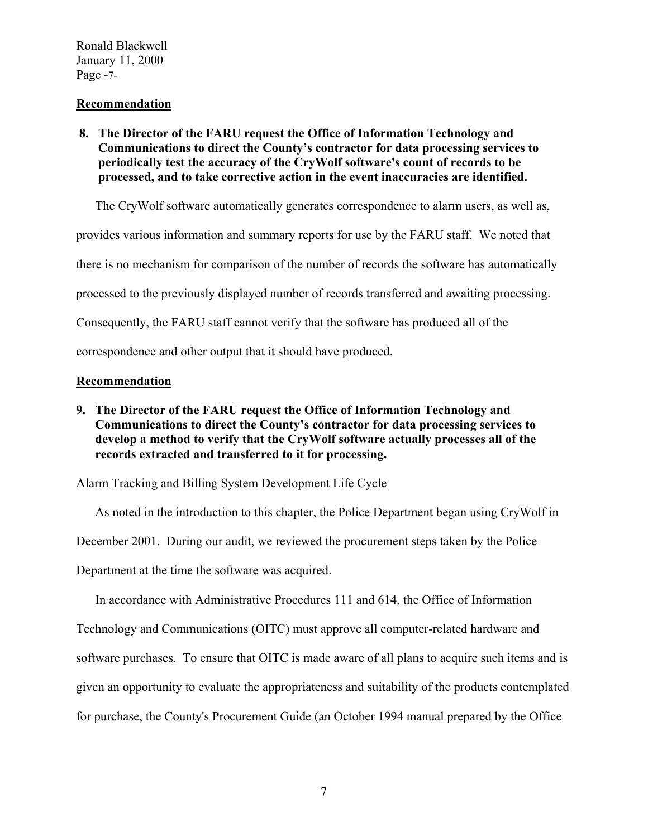Ronald Blackwell January 11, 2000 Page -7-

#### **Recommendation**

## **8. The Director of the FARU request the Office of Information Technology and Communications to direct the County's contractor for data processing services to periodically test the accuracy of the CryWolf software's count of records to be processed, and to take corrective action in the event inaccuracies are identified.**

The CryWolf software automatically generates correspondence to alarm users, as well as,

provides various information and summary reports for use by the FARU staff. We noted that

there is no mechanism for comparison of the number of records the software has automatically

processed to the previously displayed number of records transferred and awaiting processing.

Consequently, the FARU staff cannot verify that the software has produced all of the

correspondence and other output that it should have produced.

## **Recommendation**

**9. The Director of the FARU request the Office of Information Technology and Communications to direct the County's contractor for data processing services to develop a method to verify that the CryWolf software actually processes all of the records extracted and transferred to it for processing.** 

## Alarm Tracking and Billing System Development Life Cycle

As noted in the introduction to this chapter, the Police Department began using CryWolf in December 2001. During our audit, we reviewed the procurement steps taken by the Police Department at the time the software was acquired.

In accordance with Administrative Procedures 111 and 614, the Office of Information Technology and Communications (OITC) must approve all computer-related hardware and software purchases. To ensure that OITC is made aware of all plans to acquire such items and is given an opportunity to evaluate the appropriateness and suitability of the products contemplated for purchase, the County's Procurement Guide (an October 1994 manual prepared by the Office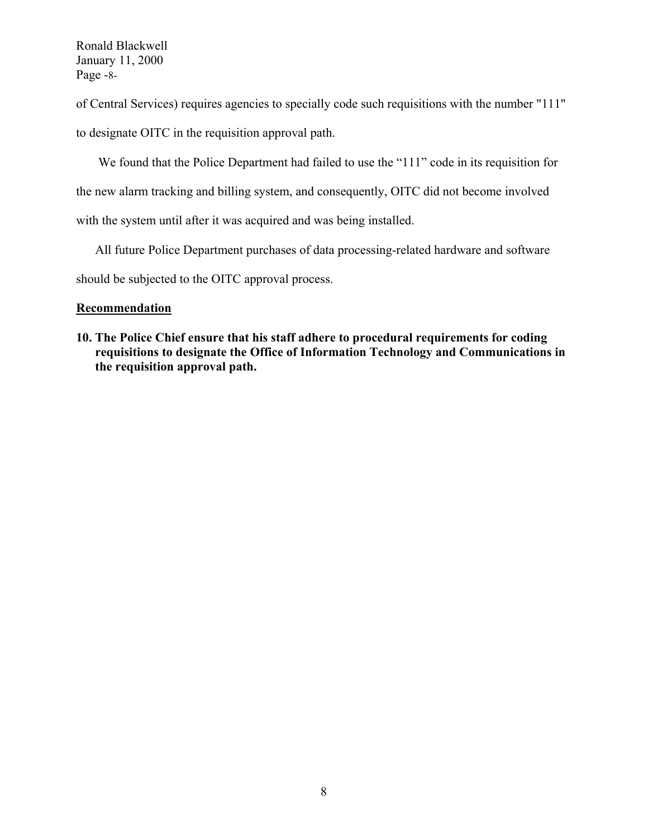Ronald Blackwell January 11, 2000 Page -8-

of Central Services) requires agencies to specially code such requisitions with the number "111"

to designate OITC in the requisition approval path.

We found that the Police Department had failed to use the "111" code in its requisition for

the new alarm tracking and billing system, and consequently, OITC did not become involved

with the system until after it was acquired and was being installed.

All future Police Department purchases of data processing-related hardware and software

should be subjected to the OITC approval process.

## **Recommendation**

**10. The Police Chief ensure that his staff adhere to procedural requirements for coding requisitions to designate the Office of Information Technology and Communications in the requisition approval path.**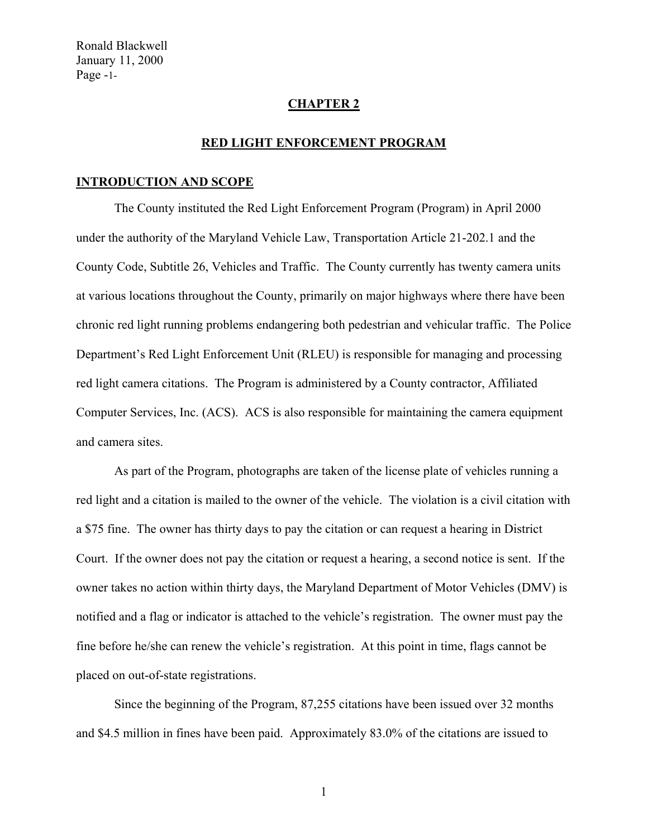#### **CHAPTER 2**

#### **RED LIGHT ENFORCEMENT PROGRAM**

#### **INTRODUCTION AND SCOPE**

 The County instituted the Red Light Enforcement Program (Program) in April 2000 under the authority of the Maryland Vehicle Law, Transportation Article 21-202.1 and the County Code, Subtitle 26, Vehicles and Traffic. The County currently has twenty camera units at various locations throughout the County, primarily on major highways where there have been chronic red light running problems endangering both pedestrian and vehicular traffic. The Police Department's Red Light Enforcement Unit (RLEU) is responsible for managing and processing red light camera citations. The Program is administered by a County contractor, Affiliated Computer Services, Inc. (ACS). ACS is also responsible for maintaining the camera equipment and camera sites.

As part of the Program, photographs are taken of the license plate of vehicles running a red light and a citation is mailed to the owner of the vehicle. The violation is a civil citation with a \$75 fine. The owner has thirty days to pay the citation or can request a hearing in District Court. If the owner does not pay the citation or request a hearing, a second notice is sent. If the owner takes no action within thirty days, the Maryland Department of Motor Vehicles (DMV) is notified and a flag or indicator is attached to the vehicle's registration. The owner must pay the fine before he/she can renew the vehicle's registration. At this point in time, flags cannot be placed on out-of-state registrations.

 Since the beginning of the Program, 87,255 citations have been issued over 32 months and \$4.5 million in fines have been paid. Approximately 83.0% of the citations are issued to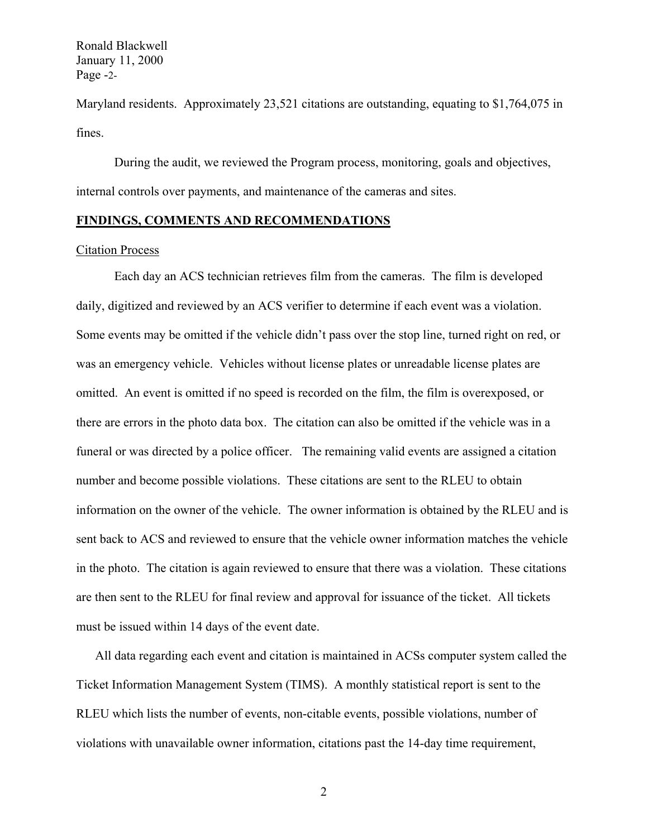Ronald Blackwell January 11, 2000 Page -2-

Maryland residents. Approximately 23,521 citations are outstanding, equating to \$1,764,075 in fines.

 During the audit, we reviewed the Program process, monitoring, goals and objectives, internal controls over payments, and maintenance of the cameras and sites.

#### **FINDINGS, COMMENTS AND RECOMMENDATIONS**

#### Citation Process

Each day an ACS technician retrieves film from the cameras. The film is developed daily, digitized and reviewed by an ACS verifier to determine if each event was a violation. Some events may be omitted if the vehicle didn't pass over the stop line, turned right on red, or was an emergency vehicle. Vehicles without license plates or unreadable license plates are omitted. An event is omitted if no speed is recorded on the film, the film is overexposed, or there are errors in the photo data box. The citation can also be omitted if the vehicle was in a funeral or was directed by a police officer. The remaining valid events are assigned a citation number and become possible violations. These citations are sent to the RLEU to obtain information on the owner of the vehicle. The owner information is obtained by the RLEU and is sent back to ACS and reviewed to ensure that the vehicle owner information matches the vehicle in the photo. The citation is again reviewed to ensure that there was a violation. These citations are then sent to the RLEU for final review and approval for issuance of the ticket. All tickets must be issued within 14 days of the event date.

All data regarding each event and citation is maintained in ACSs computer system called the Ticket Information Management System (TIMS). A monthly statistical report is sent to the RLEU which lists the number of events, non-citable events, possible violations, number of violations with unavailable owner information, citations past the 14-day time requirement,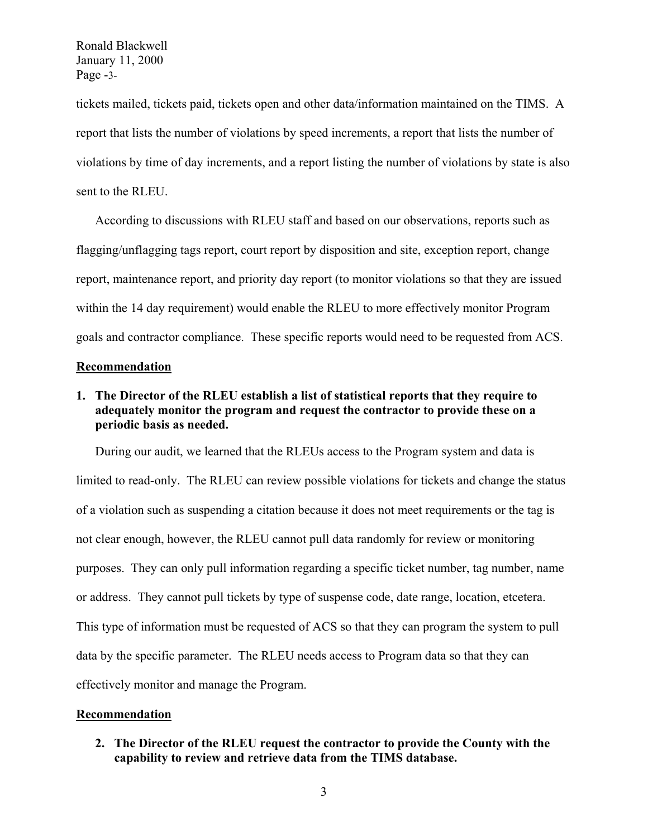Ronald Blackwell January 11, 2000 Page -3-

tickets mailed, tickets paid, tickets open and other data/information maintained on the TIMS. A report that lists the number of violations by speed increments, a report that lists the number of violations by time of day increments, and a report listing the number of violations by state is also sent to the RLEU.

According to discussions with RLEU staff and based on our observations, reports such as flagging/unflagging tags report, court report by disposition and site, exception report, change report, maintenance report, and priority day report (to monitor violations so that they are issued within the 14 day requirement) would enable the RLEU to more effectively monitor Program goals and contractor compliance. These specific reports would need to be requested from ACS.

#### **Recommendation**

## **1. The Director of the RLEU establish a list of statistical reports that they require to adequately monitor the program and request the contractor to provide these on a periodic basis as needed.**

During our audit, we learned that the RLEUs access to the Program system and data is limited to read-only. The RLEU can review possible violations for tickets and change the status of a violation such as suspending a citation because it does not meet requirements or the tag is not clear enough, however, the RLEU cannot pull data randomly for review or monitoring purposes. They can only pull information regarding a specific ticket number, tag number, name or address. They cannot pull tickets by type of suspense code, date range, location, etcetera. This type of information must be requested of ACS so that they can program the system to pull data by the specific parameter. The RLEU needs access to Program data so that they can effectively monitor and manage the Program.

#### **Recommendation**

**2. The Director of the RLEU request the contractor to provide the County with the capability to review and retrieve data from the TIMS database.**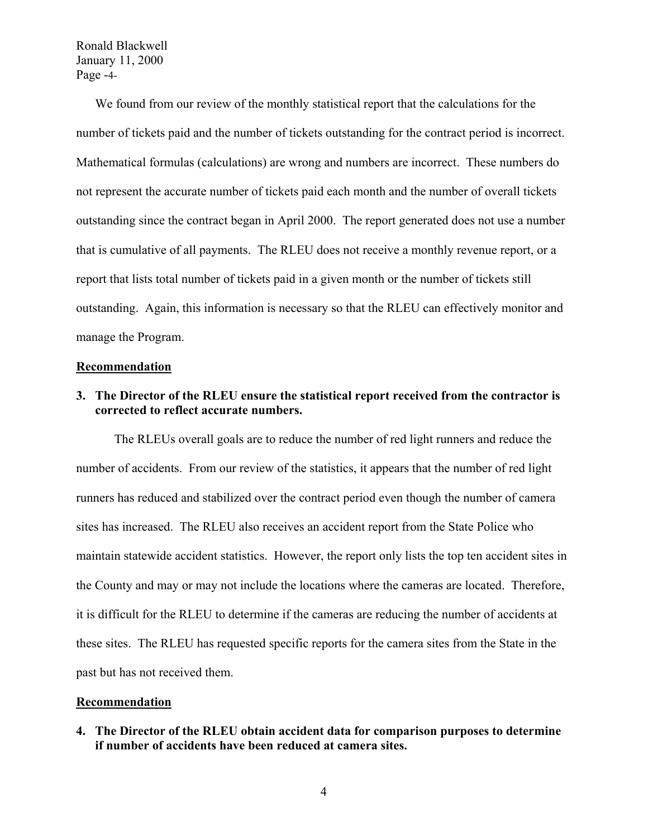Ronald Blackwell January 11, 2000 Page -4-

We found from our review of the monthly statistical report that the calculations for the number of tickets paid and the number of tickets outstanding for the contract period is incorrect. Mathematical formulas (calculations) are wrong and numbers are incorrect. These numbers do not represent the accurate number of tickets paid each month and the number of overall tickets outstanding since the contract began in April 2000. The report generated does not use a number that is cumulative of all payments. The RLEU does not receive a monthly revenue report, or a report that lists total number of tickets paid in a given month or the number of tickets still outstanding. Again, this information is necessary so that the RLEU can effectively monitor and manage the Program.

#### **Recommendation**

## **3. The Director of the RLEU ensure the statistical report received from the contractor is corrected to reflect accurate numbers.**

 The RLEUs overall goals are to reduce the number of red light runners and reduce the number of accidents. From our review of the statistics, it appears that the number of red light runners has reduced and stabilized over the contract period even though the number of camera sites has increased. The RLEU also receives an accident report from the State Police who maintain statewide accident statistics. However, the report only lists the top ten accident sites in the County and may or may not include the locations where the cameras are located. Therefore, it is difficult for the RLEU to determine if the cameras are reducing the number of accidents at these sites. The RLEU has requested specific reports for the camera sites from the State in the past but has not received them.

#### **Recommendation**

**4. The Director of the RLEU obtain accident data for comparison purposes to determine if number of accidents have been reduced at camera sites.**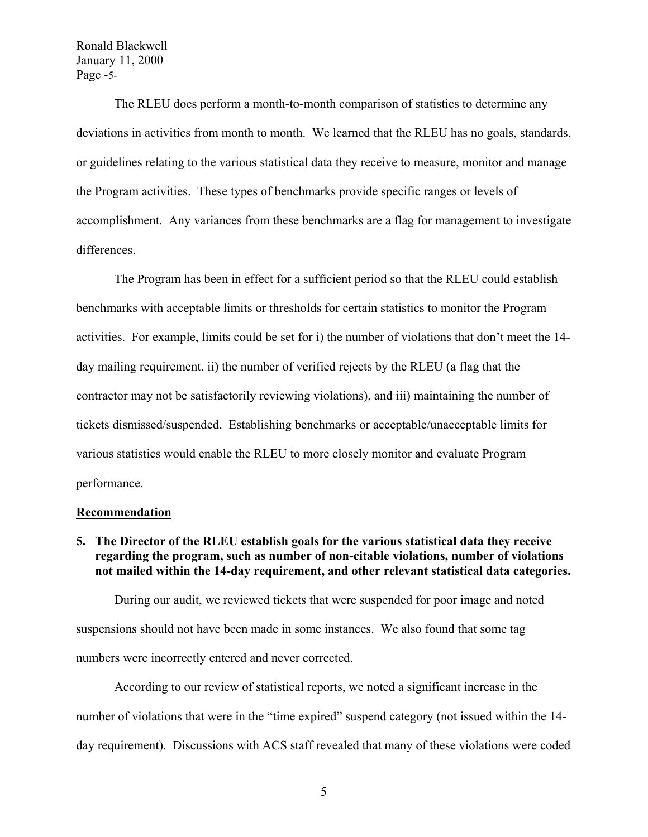Ronald Blackwell January 11, 2000 Page -5-

 The RLEU does perform a month-to-month comparison of statistics to determine any deviations in activities from month to month. We learned that the RLEU has no goals, standards, or guidelines relating to the various statistical data they receive to measure, monitor and manage the Program activities. These types of benchmarks provide specific ranges or levels of accomplishment. Any variances from these benchmarks are a flag for management to investigate differences.

 The Program has been in effect for a sufficient period so that the RLEU could establish benchmarks with acceptable limits or thresholds for certain statistics to monitor the Program activities. For example, limits could be set for i) the number of violations that don't meet the 14 day mailing requirement, ii) the number of verified rejects by the RLEU (a flag that the contractor may not be satisfactorily reviewing violations), and iii) maintaining the number of tickets dismissed/suspended. Establishing benchmarks or acceptable/unacceptable limits for various statistics would enable the RLEU to more closely monitor and evaluate Program performance.

#### **Recommendation**

**5. The Director of the RLEU establish goals for the various statistical data they receive regarding the program, such as number of non-citable violations, number of violations not mailed within the 14-day requirement, and other relevant statistical data categories.** 

During our audit, we reviewed tickets that were suspended for poor image and noted suspensions should not have been made in some instances. We also found that some tag numbers were incorrectly entered and never corrected.

According to our review of statistical reports, we noted a significant increase in the number of violations that were in the "time expired" suspend category (not issued within the 14 day requirement). Discussions with ACS staff revealed that many of these violations were coded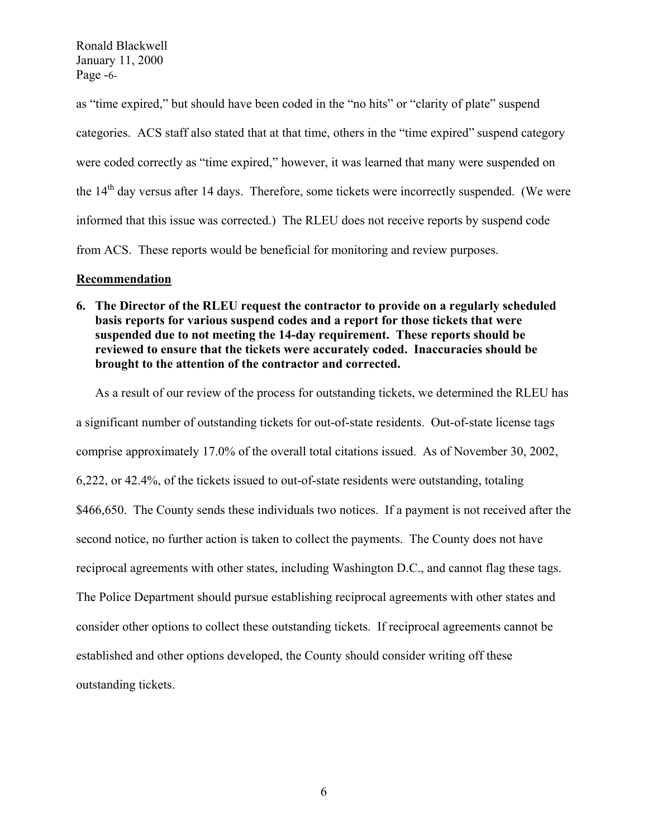Ronald Blackwell January 11, 2000 Page -6-

as "time expired," but should have been coded in the "no hits" or "clarity of plate" suspend categories. ACS staff also stated that at that time, others in the "time expired" suspend category were coded correctly as "time expired," however, it was learned that many were suspended on the 14<sup>th</sup> day versus after 14 days. Therefore, some tickets were incorrectly suspended. (We were informed that this issue was corrected.) The RLEU does not receive reports by suspend code from ACS. These reports would be beneficial for monitoring and review purposes.

#### **Recommendation**

**6. The Director of the RLEU request the contractor to provide on a regularly scheduled basis reports for various suspend codes and a report for those tickets that were suspended due to not meeting the 14-day requirement. These reports should be reviewed to ensure that the tickets were accurately coded. Inaccuracies should be brought to the attention of the contractor and corrected.** 

As a result of our review of the process for outstanding tickets, we determined the RLEU has a significant number of outstanding tickets for out-of-state residents. Out-of-state license tags comprise approximately 17.0% of the overall total citations issued. As of November 30, 2002, 6,222, or 42.4%, of the tickets issued to out-of-state residents were outstanding, totaling \$466,650. The County sends these individuals two notices. If a payment is not received after the second notice, no further action is taken to collect the payments. The County does not have reciprocal agreements with other states, including Washington D.C., and cannot flag these tags. The Police Department should pursue establishing reciprocal agreements with other states and consider other options to collect these outstanding tickets. If reciprocal agreements cannot be established and other options developed, the County should consider writing off these outstanding tickets.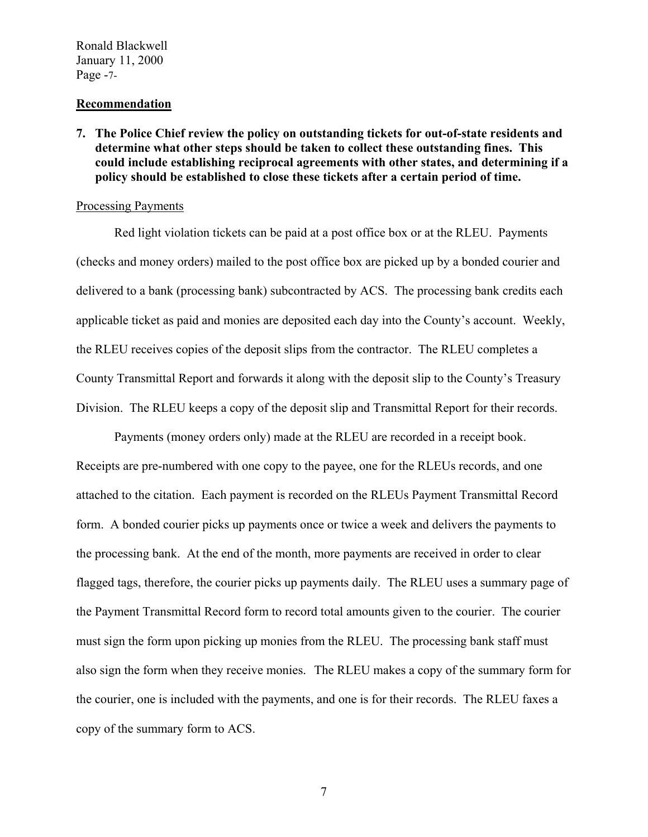Ronald Blackwell January 11, 2000 Page -7-

#### **Recommendation**

**7. The Police Chief review the policy on outstanding tickets for out-of-state residents and determine what other steps should be taken to collect these outstanding fines. This could include establishing reciprocal agreements with other states, and determining if a policy should be established to close these tickets after a certain period of time.** 

## Processing Payments

Red light violation tickets can be paid at a post office box or at the RLEU. Payments (checks and money orders) mailed to the post office box are picked up by a bonded courier and delivered to a bank (processing bank) subcontracted by ACS. The processing bank credits each applicable ticket as paid and monies are deposited each day into the County's account. Weekly, the RLEU receives copies of the deposit slips from the contractor. The RLEU completes a County Transmittal Report and forwards it along with the deposit slip to the County's Treasury Division. The RLEU keeps a copy of the deposit slip and Transmittal Report for their records.

Payments (money orders only) made at the RLEU are recorded in a receipt book. Receipts are pre-numbered with one copy to the payee, one for the RLEUs records, and one attached to the citation. Each payment is recorded on the RLEUs Payment Transmittal Record form.A bonded courier picks up payments once or twice a week and delivers the payments to the processing bank. At the end of the month, more payments are received in order to clear flagged tags, therefore, the courier picks up payments daily. The RLEU uses a summary page of the Payment Transmittal Record form to record total amounts given to the courier. The courier must sign the form upon picking up monies from the RLEU. The processing bank staff must also sign the form when they receive monies. The RLEU makes a copy of the summary form for the courier, one is included with the payments, and one is for their records. The RLEU faxes a copy of the summary form to ACS.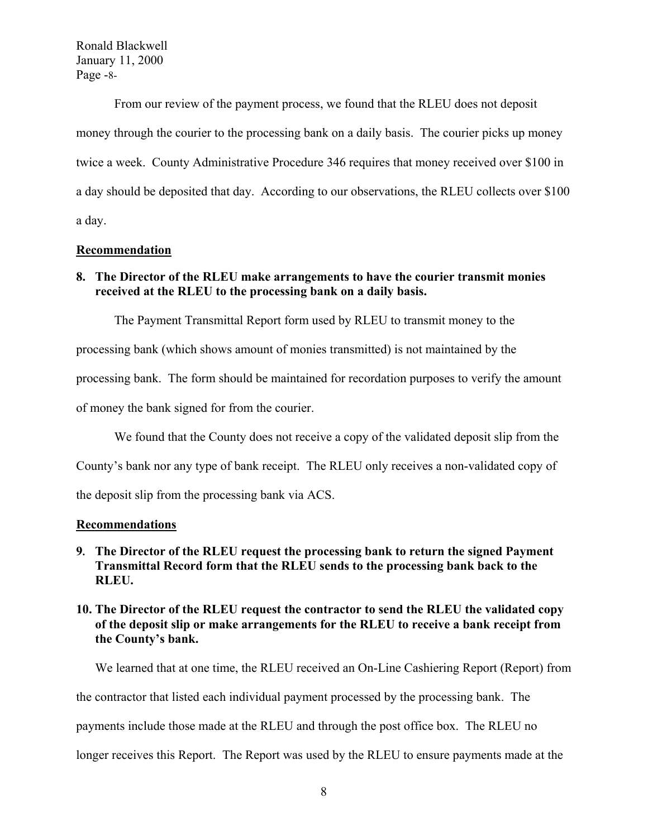Ronald Blackwell January 11, 2000 Page -8-

From our review of the payment process, we found that the RLEU does not deposit money through the courier to the processing bank on a daily basis. The courier picks up money twice a week. County Administrative Procedure 346 requires that money received over \$100 in a day should be deposited that day. According to our observations, the RLEU collects over \$100 a day.

#### **Recommendation**

## **8. The Director of the RLEU make arrangements to have the courier transmit monies received at the RLEU to the processing bank on a daily basis.**

The Payment Transmittal Report form used by RLEU to transmit money to the

processing bank (which shows amount of monies transmitted) is not maintained by the

processing bank. The form should be maintained for recordation purposes to verify the amount

of money the bank signed for from the courier.

We found that the County does not receive a copy of the validated deposit slip from the

County's bank nor any type of bank receipt. The RLEU only receives a non-validated copy of

the deposit slip from the processing bank via ACS.

#### **Recommendations**

## **9. The Director of the RLEU request the processing bank to return the signed Payment Transmittal Record form that the RLEU sends to the processing bank back to the RLEU.**

## **10. The Director of the RLEU request the contractor to send the RLEU the validated copy of the deposit slip or make arrangements for the RLEU to receive a bank receipt from the County's bank.**

We learned that at one time, the RLEU received an On-Line Cashiering Report (Report) from

the contractor that listed each individual payment processed by the processing bank. The

payments include those made at the RLEU and through the post office box. The RLEU no

longer receives this Report. The Report was used by the RLEU to ensure payments made at the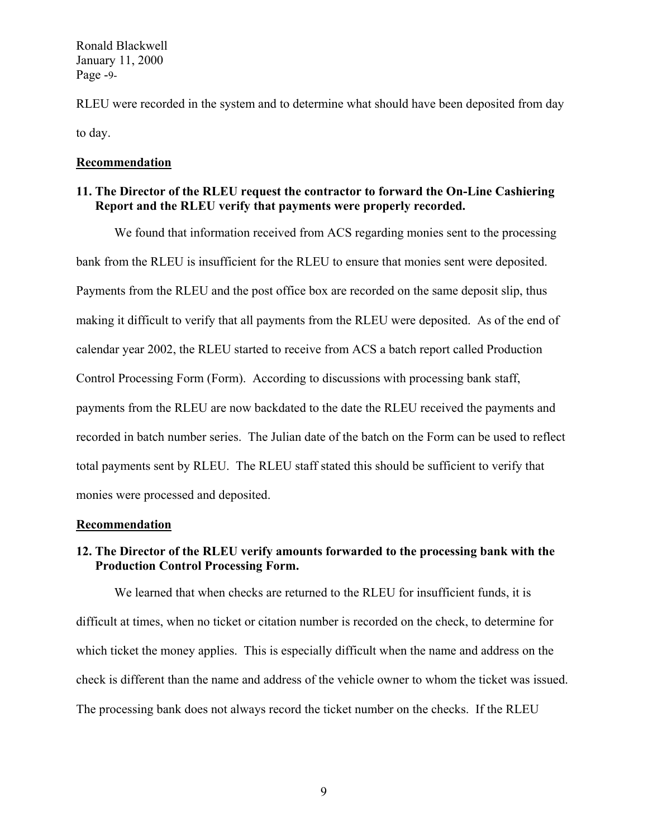Ronald Blackwell January 11, 2000 Page -9-

RLEU were recorded in the system and to determine what should have been deposited from day to day.

#### **Recommendation**

## **11. The Director of the RLEU request the contractor to forward the On-Line Cashiering Report and the RLEU verify that payments were properly recorded.**

We found that information received from ACS regarding monies sent to the processing bank from the RLEU is insufficient for the RLEU to ensure that monies sent were deposited. Payments from the RLEU and the post office box are recorded on the same deposit slip, thus making it difficult to verify that all payments from the RLEU were deposited. As of the end of calendar year 2002, the RLEU started to receive from ACS a batch report called Production Control Processing Form (Form). According to discussions with processing bank staff, payments from the RLEU are now backdated to the date the RLEU received the payments and recorded in batch number series. The Julian date of the batch on the Form can be used to reflect total payments sent by RLEU. The RLEU staff stated this should be sufficient to verify that monies were processed and deposited.

#### **Recommendation**

## **12. The Director of the RLEU verify amounts forwarded to the processing bank with the Production Control Processing Form.**

We learned that when checks are returned to the RLEU for insufficient funds, it is difficult at times, when no ticket or citation number is recorded on the check, to determine for which ticket the money applies. This is especially difficult when the name and address on the check is different than the name and address of the vehicle owner to whom the ticket was issued. The processing bank does not always record the ticket number on the checks. If the RLEU